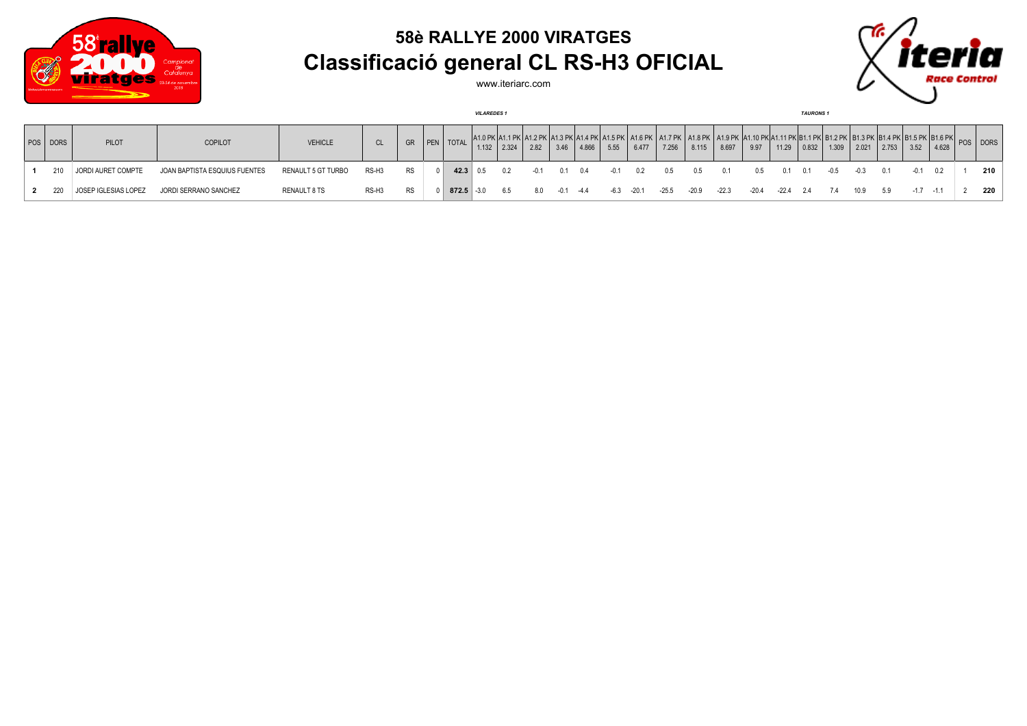

## **58è RALLYE 2000 VIRATGES Classificació general CL RS-H3 OFICIAL**

www.iteriarc.com



|         |      |                      |                               |                    |                   |           |                | <b>VILAREDES1</b> |       |      |              |       |               |       |                                                                                                                                                                                           |       |         |               |             | <b>TAURONS1</b> |      |                 |       |        |       |     |
|---------|------|----------------------|-------------------------------|--------------------|-------------------|-----------|----------------|-------------------|-------|------|--------------|-------|---------------|-------|-------------------------------------------------------------------------------------------------------------------------------------------------------------------------------------------|-------|---------|---------------|-------------|-----------------|------|-----------------|-------|--------|-------|-----|
| l pos l | DORS | <b>PILOT</b>         | COPILOT                       | <b>VEHICLE</b>     | <sub>CL</sub>     | GR        | PEN   TOTAL    | 1.132             | 2.324 | 2.82 | 3.46         | 4.866 | 5.55          | 6.477 | 1.0 PK 41.1 PK 41.2 PK 41.3 PK 41.4 PK 41.5 PK 41.5 PK 41.7 PK 41.7 PK 41.8 PK 41.10 PK 41.10 PK 81.1 PK 81.1 PK 81.2 PK 81.3 PK 81.3 PK 81.5 PK 81.5 PK 81.5 PK 81.5 PK 81.6 PK<br>7.256 | 8.115 | 8.697   | 9.97          | 11.29       | 0.832           |      | $1.309$   2.021 | 2.753 | 3.52   | 4.628 |     |
|         | 210  | JORDI AURET COMPTE   | JOAN BAPTISTA ESQUIUS FUENTES | RENAULT 5 GT TURBO | RS-H3             | <b>RS</b> | $42.3 \pm 0.5$ |                   | 0.2   |      | 0.1          | 0.4   | $-0.1$        | 0.2   | 0.5                                                                                                                                                                                       | 0.5   |         | $0.5^{\circ}$ | 0.1         | 0.1             | -0.5 | $-0.3$          | 0.1   |        | 0.2   | 210 |
|         |      | JOSEP IGLESIAS LOPEZ | JORDI SERRANO SANCHEZ         | RENAULT 8 TS       | RS-H <sub>3</sub> | <b>RS</b> |                | $872.5$ $-3.0$    | 6.5   | 8.0  | $-0.1 - 4.4$ |       | $-6.3 - 20.1$ |       | -25.5                                                                                                                                                                                     | -20.9 | $-22.3$ | -20.4         | $-22.4$ 2.4 |                 | 7.4  | 10.9            | 5.9   | $-1.7$ |       | 220 |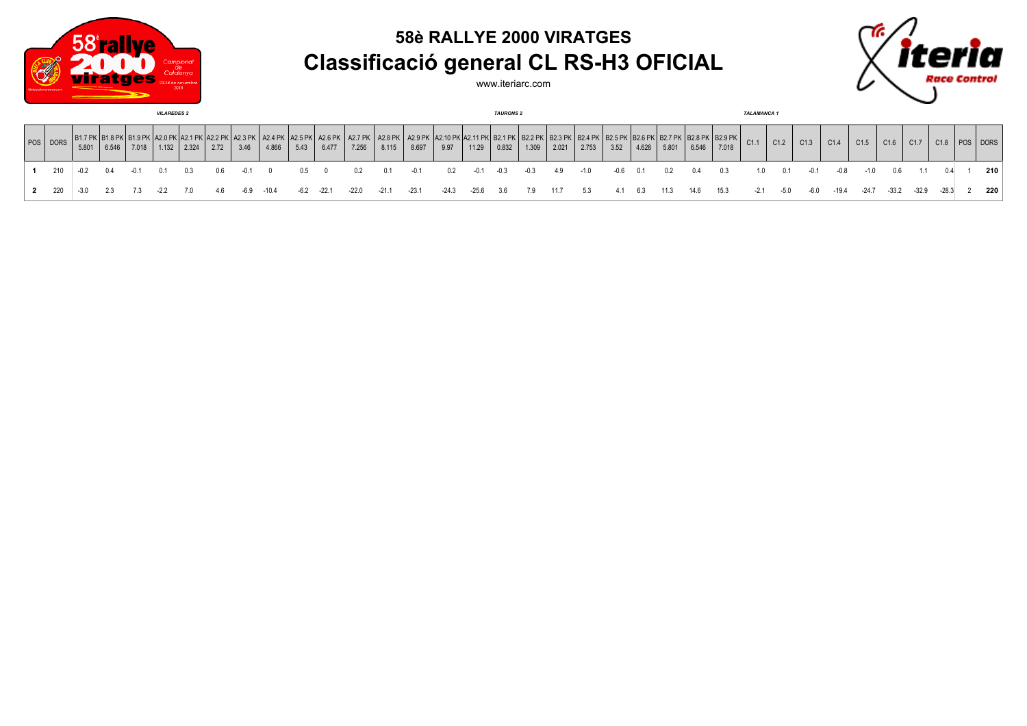



www.iteriarc.com



| <b>VILAREDES 2</b> |        |       |       |       |       |      |      |              |      |                  |                         |                    |         | <b>TAURONS 2</b>                    |        |                     |                      |       |       |      |       |       |       | <b>TALAMANCA1</b> |        |      |        |         |         |         |         |         |          |     |
|--------------------|--------|-------|-------|-------|-------|------|------|--------------|------|------------------|-------------------------|--------------------|---------|-------------------------------------|--------|---------------------|----------------------|-------|-------|------|-------|-------|-------|-------------------|--------|------|--------|---------|---------|---------|---------|---------|----------|-----|
| POS DORS           | 5.801  | 6.546 | 7.018 | 1.132 | 2.324 | 2.72 | 3.46 | 4.866        | 5.43 | A2.6 PK<br>6.477 | <b>A2.7 PK</b><br>7.256 | $A2.8$ PK<br>8.115 | 8.697   | ( A2.9 PK A2.10 PK A2.11 PK<br>9.97 | 11.29  | :  B2.1 PK<br>0.832 | (   B2.2 PK<br>1.309 | 2.021 | 2.753 | 3.52 | 4.628 | 5.801 | 6.546 | 7.018             | C1.1   | C1.2 | C1.3   | C1.4    | C1.5    | C1.6    | C1.7    | C1.8    | POS DORS |     |
| 210                |        | 0.4   |       | 0.1   |       | 06.  |      |              | 0.5  |                  | 0.2                     | 0.1                | $-0.1$  |                                     | $-0.1$ | $-0.3$              | $-0.3$               | 4.9   |       | -06  | 0.1   | 02    | 0.4   | 0.3               |        |      | $-0.1$ | -0.8    | $-1.0$  | 0.6     |         |         |          | 210 |
| 2 220              | $-3.0$ | -2.3  |       |       |       | 4.6  |      | $-6.9 -10.4$ | -6.2 | $-22.1$          | $-22.0$                 | $-21.1$            | $-23.1$ | -24.3                               | -25.6  | -3.6                | 7.9                  | 11.7  | 5.3   | 4.1  | 6.3   | 11.3  | 14.6  | 15.3              | $-2.1$ | -5.0 | $-6.0$ | $-19.4$ | $-24.7$ | $-33.2$ | $-32.9$ | $-28.3$ |          | 220 |